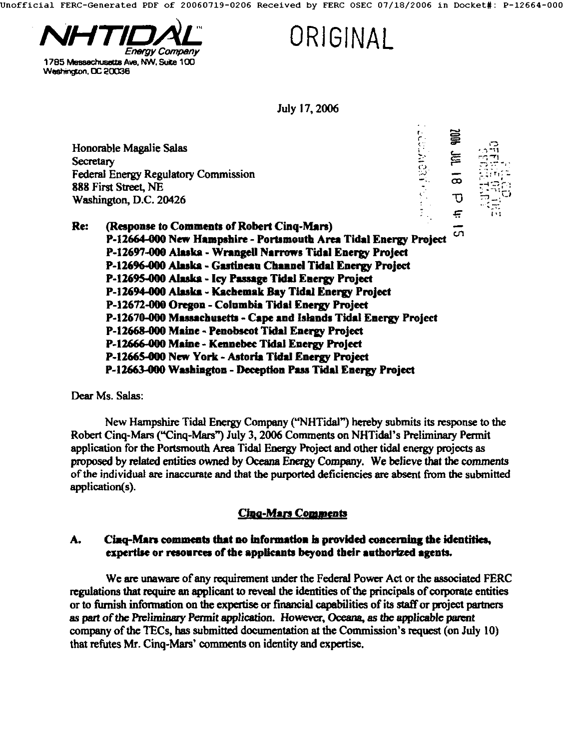Jnofflclal FERC-Generated PDF of 20060719-0206 Received by FERC OSEC 07/18/2006 in Docket#: P-12664-000



1785 Messachusetts Ave. NW. Suite 100 Washington, DC 20036

**ORIGINAL** 

July 17, 2006

~ ~i2 ,'3 Honorable Magalie Salas  $\cdots$ Secretary Federal Energy Regulatory Commission  $\bar{\mathbf{\infty}}$ **888** First Street, **NE**  D Washington, D.C. **20426**  Ę **Re: (Response to Comments of Robert Cinq-Mars)**  .<br>ທ. **P-12664-000 New Hampshire - Portsmouth Arca Tidal Energy Project**  P-12697-000 Alaska - Wrangell Narrows Tidal Energy Project P-12696-000 Alaska - Gastineau Channel Tidal Energy Project **P-12695-000 Alaska - Icy Passage Tidal Energy Project P-12694-000 Alaska - Kachemak Bay Tkhd Energy Project P-12672-000 Oregon - Columbia Tidal Energy Project P-12670-000 Massachusetts - Cape and Islands Tidal Energy Project P-12668-000 Maine - Penobscot Tidal Energy Project P-12666.000 Mahae - Kennebec Tidal Energy Project 1'-12665-000 New York - Astoria Tidal Energy Project P-12663-000 Washington - Deception Pass Tidal Energy Project** 

Dear Ms. Salas:

New Hampshire Tidal Energy Company ("NHTidal") hereby submits its response to the Robert Cinq-Mars ("Cinq-Mars") July 3, 2006 Comments on NHTidal's Prelim'mary Permit application for the Portsmouth Area Tidal Energy Project and other tidal energy projects as proposed by related entities owned by Oceana Energy Company. We believe that the comments ofthe individual are inaccurate and that the purported deficiencies are absent from the submitted application(s).

# **Cina-Mars Comments**

### A. Cinq-Mars comments that no information is provided concerning the identities, expertise or resources of the applicants beyond their authorized agents.

We are unaware of any requirement under the Federal Power Act or the associated FERC regulations that require an applicant to reveal the identities of the principals of corporate entities or to furnish infommtion on the expertise or financial capabilities of its staffor project parmers as part of the Preliminary Permit application. However, Oceana, as the applicable parent company of the TECs, has submitted documentation at the Commission's request (on July 10) that refutes Mr. Cinq-Mars' comments on identity and expertise.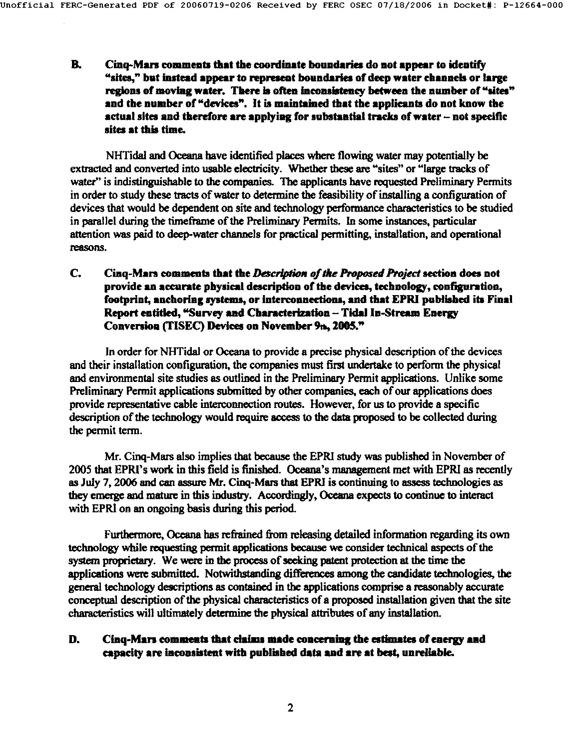**B. Cinq-Mars comments that the coordinate boundaries do not appear to identify asites," but instead appear to represent boundaries of deep water channels or large**  regions of moving water. There is often inconsistency between the number of "sites" **and the number of "devices". It is maintained that the applicants do not know the actual sites and therefore are applying for substantial tracks of water - not specific sites at this time.** 

NHTidal and Oceana have identified places where flowing water may potentially be extracted and converted into usable electricity. Whether these are "sites" or "large tracks of water" is indistinguishable to the companies. The applicants have requested Preliminary Permits in order to study these tracts of water to determine the feasibility of installing a configuration of devices that would be dependent on site and technology performance characteristics to be studied in parallel during the timeframe of the Preliminary Permits. In some instances, particular attention was paid to deep-water channels for practical permitting, installation, and operational reasons.

**C. Cinq-Mars comments that** *the Dcscdption oftke* **Proposed Project section does not provide an accurate physical description of the devices, technology, configuration,**  footprint, anchoring systems, or interconnections, and that EPRI published its Final **Report entitled, "Survey and Characterization - Tidal In-Stream Energy**  Conversion (TISEC) Devices on November 9th, 2005."

In order for NHTidal or Oceana to provide a precise physical description of the devices and their installation configuration, the companies must first undertake to perform the physical and environmental site studies as outlined in the Preliminary Permit applications. Unlike some Preliminary Permit applications submitted by other companies, each of our applications does provide representative cable interconnection mutes. However, for us to provide a specific description of the technology would require access to the data proposed to be collected during the permit term.

Mr. Cinq-Mars also implies that because the EPR1 study was published in November of 2005 that EPRI's work in this field is finished. Oceana's management met with EPRI as recently as July 7, 2006 and can assure Mr. Cinq-Mars that EPRI is continuing to assess technologies as they emerge and mature in this industry. Accordingly, Oceana expects to continue to interact with EPRI on an ongoing basis during this period.

Furthermore, Oceana has refrained from releasing detailed information regarding its own technology while requesting permit applications because we consider technical aspects of the system proprictary. We were in the process of seeking patent protection at the time the applications were submitted. Notwithstanding differences among the candidate technologies, the general technology descriptions as contained in the applications comprise a reasonably accurate conceptual description of the physical characteristics of a proposed installation given that the site characteristics will ultimately determine the physical attributes of any installation.

### **D.** Cinq-Mars comments that claims made concerning the estimates of energy and **capacity are inconsistent with published data and are at best, unreliable.**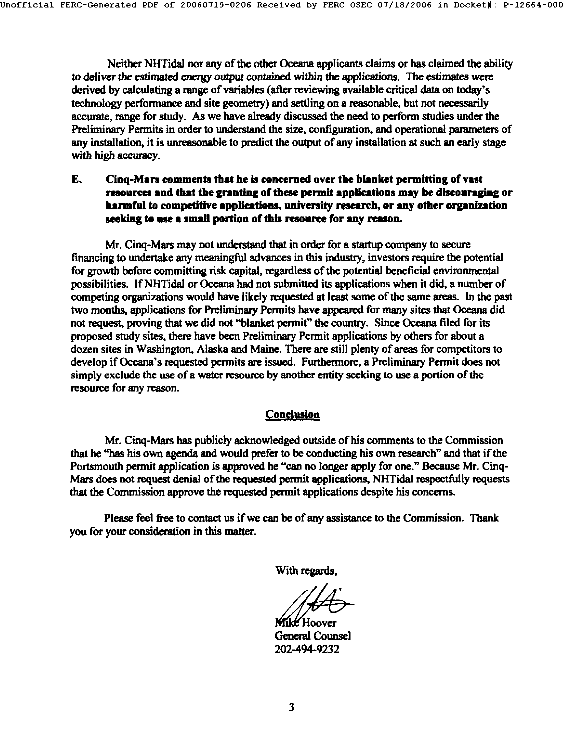Neither NHTidal nor any of the other Oceana applicants claims or has claimed the ability to deliver the estimated energy *output* contained within the applications. The estimates were derived by calculating a range of variables (after reviewing available critical data on today's technology performance and site geometry) and settling on a reasonable, but not necessarily accurate, range for study. As we have already discussed the need to perform studies under the Preliminary Permits in order to understand the size, configuration, and operational parameters of any installation, it is unreasonable to predict the output of any installation at such **an early** stage with high aceuracy.

**E.** Cinq-Mars comments that he is concerned over the blanket permitting of vast resources and that the granting of these permit applications may be discouraging or **harmful to competitive applications, university research, or any other organization**  seeking to use a small portion of this resource for any reason.

Mr. Cinq-Mars may not understand that in order for a startup company to secure financing to undertake any meaningful advances in this industry, investors require the potential for growth before committing risk capital, regardless of the potential beneficial environmental possibilities, lfNHTidal or Oceana had not submitted its applications when it did, a number of competing organizations would have likely requested at least some of the same areas. In the past two months, applications for Preliminary Permits have appeared for many sites that Oceana did not request, proving that we did not "blanket permit" the country. Since Occona filed for its proposed study sites, there have been Preliminary Permit applications by others for about a dozen sites in Washington, Alaska and Maine. There are still plenty of areas for competitors to develop if Oceana's requested permits are issued. Furthermore, a Preliminary Permit does not simply exclude the use of a water resource by another entity seeking to use a portion of the resource for any reason.

#### **Conclusion**

Mr. Cinq-Mars has publicly acknowledged outside of his comments to the Commission that he "has his own agenda and would prefer to be conducting his own research" and that if the Portsmouth permit application is approved he "can no longer apply for one." Because Mr. Cinq-Mars does not request denial of the requested permit applications, NHTidal respectfully requests that the Commission approve the requested permit applications despite his concerns.

Please feel free to contact us if we can be of any assistance to the Commission. Thank you for your consideration in this matter.

**With regards,** 

**Mikt Hoover** General Counsel 202-494-9232